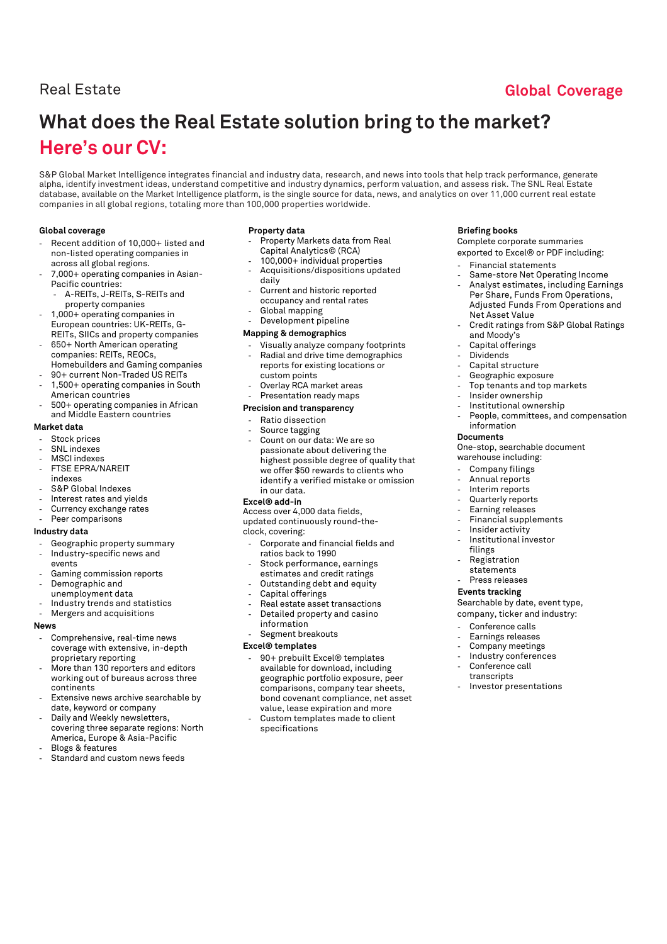## Real Estate **Global Coverage**

# **What does the Real Estate solution bring to the market? Here's our CV:**

S&P Global Market Intelligence integrates financial and industry data, research, and news into tools that help track performance, generate alpha, identify investment ideas, understand competitive and industry dynamics, perform valuation, and assess risk. The SNL Real Estate database, available on the Market Intelligence platform, is the single source for data, news, and analytics on over 11,000 current real estate companies in all global regions, totaling more than 100,000 properties worldwide.

#### **Global coverage**

- Recent addition of 10,000+ listed and non-listed operating companies in across all global regions.
- 7,000+ operating companies in Asian-Pacific countries:
	- A-REITs, J-REITs, S-REITs and
- property companies - 1,000+ operating companies in European countries: UK-REITs, G-
- REITs, SIICs and property companies
- 650+ North American operating companies: REITs, REOCs, Homebuilders and Gaming companies
- 90+ current Non-Traded US REITs
- 1,500+ operating companies in South American countries
- 500+ operating companies in African and Middle Eastern countries

#### **Market data**

- Stock prices
- SNL indexes
- MSCI indexes
- FTSE EPRA/NAREIT
- indexes
- S&P Global Indexes
- Interest rates and yields
- Currency exchange rates Peer comparisons

#### **Industry data**

- Geographic property summary
- Industry-specific news and events
- Gaming commission reports
- Demographic and
- unemployment data
- Industry trends and statistics
- Mergers and acquisitions

#### **News**

- Comprehensive, real-time news coverage with extensive, in-depth proprietary reporting
- More than 130 reporters and editors working out of bureaus across three continents
- Extensive news archive searchable by date, keyword or company
- Daily and Weekly newsletters, covering three separate regions: North America, Europe & Asia-Pacific
- Blogs & features
- Standard and custom news feeds

#### **Property data**

- Property Markets data from Real Capital Analytics© (RCA)
- 100,000+ individual properties - Acquisitions/dispositions updated
- daily
- Current and historic reported occupancy and rental rates
- Global mapping Development pipeline
- **Mapping & demographics**
- Visually analyze company footprints
- Radial and drive time demographics reports for existing locations or custom points
- Overlay RCA market areas Presentation ready maps

#### **Precision and transparency**

- Ratio dissection
- Source tagging
- Count on our data: We are so passionate about delivering the highest possible degree of quality that we offer \$50 rewards to clients who identify a verified mistake or omission in our data.

#### **Excel® add-in**

Access over 4,000 data fields, updated continuously round-theclock, covering:

- Corporate and financial fields and ratios back to 1990
- Stock performance, earnings estimates and credit ratings
- Outstanding debt and equity
- Capital offerings
- Real estate asset transactions Detailed property and casino information
- Segment breakouts

#### **Excel® templates**

- 90+ prebuilt Excel® templates available for download, including geographic portfolio exposure, peer comparisons, company tear sheets, bond covenant compliance, net asset value, lease expiration and more
- Custom templates made to client specifications

#### **Briefing books**

Complete corporate summaries exported to Excel® or PDF including:

- Financial statements
- Same-store Net Operating Income
- Analyst estimates, including Earnings Per Share, Funds From Operations, Adjusted Funds From Operations and Net Asset Value
- Credit ratings from S&P Global Ratings and Moody's
- Capital offerings
- Dividends
- Capital structure
- Geographic exposure
- Top tenants and top markets
- Insider ownership
- Institutional ownership
- People, committees, and compensation information

#### **Documents**

One-stop, searchable document warehouse including:

- Company filings
- Annual reports
- Interim reports
- Quarterly reports
- Earning releases
- Financial supplements
- Insider activity
- Institutional investor
- filings
- **Registration**
- statements Press releases

### **Events tracking**

Searchable by date, event type,

- company, ticker and industry:
- Conference calls
- Earnings releases
- Company meetings
- Industry conferences
- Conference call transcripts
- Investor presentations